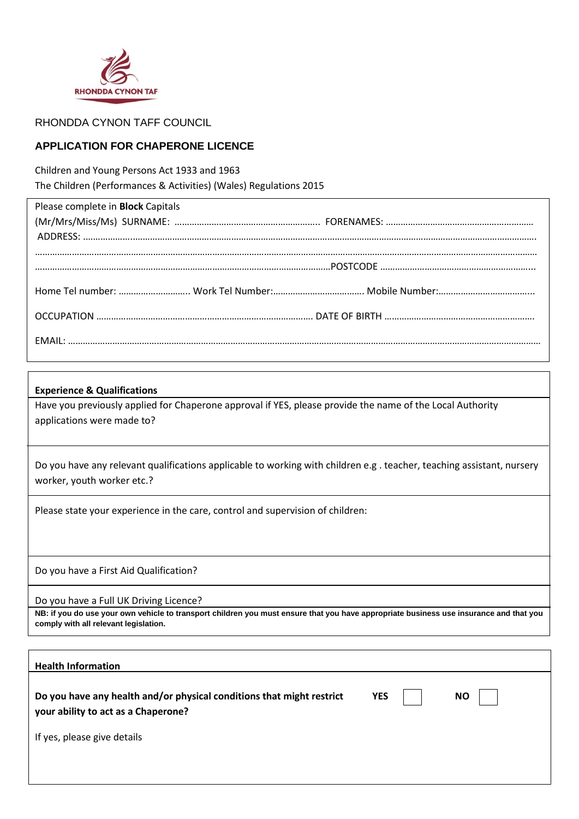

RHONDDA CYNON TAFF COUNCIL

## **APPLICATION FOR CHAPERONE LICENCE**

Children and Young Persons Act 1933 and 1963 The Children (Performances & Activities) (Wales) Regulations 2015

| Please complete in <b>Block</b> Capitals |  |  |
|------------------------------------------|--|--|
|                                          |  |  |
|                                          |  |  |
|                                          |  |  |
|                                          |  |  |
|                                          |  |  |
|                                          |  |  |

### **Experience & Qualifications**

Have you previously applied for Chaperone approval if YES, please provide the name of the Local Authority applications were made to?

Do you have any relevant qualifications applicable to working with children e.g . teacher, teaching assistant, nursery worker, youth worker etc.?

Please state your experience in the care, control and supervision of children:

Do you have a First Aid Qualification?

Do you have a Full UK Driving Licence?

**NB: if you do use your own vehicle to transport children you must ensure that you have appropriate business use insurance and that you comply with all relevant legislation.**

| <b>Health Information</b>                                                                                    |            |           |  |
|--------------------------------------------------------------------------------------------------------------|------------|-----------|--|
| Do you have any health and/or physical conditions that might restrict<br>your ability to act as a Chaperone? | <b>YES</b> | <b>NO</b> |  |
| If yes, please give details                                                                                  |            |           |  |
|                                                                                                              |            |           |  |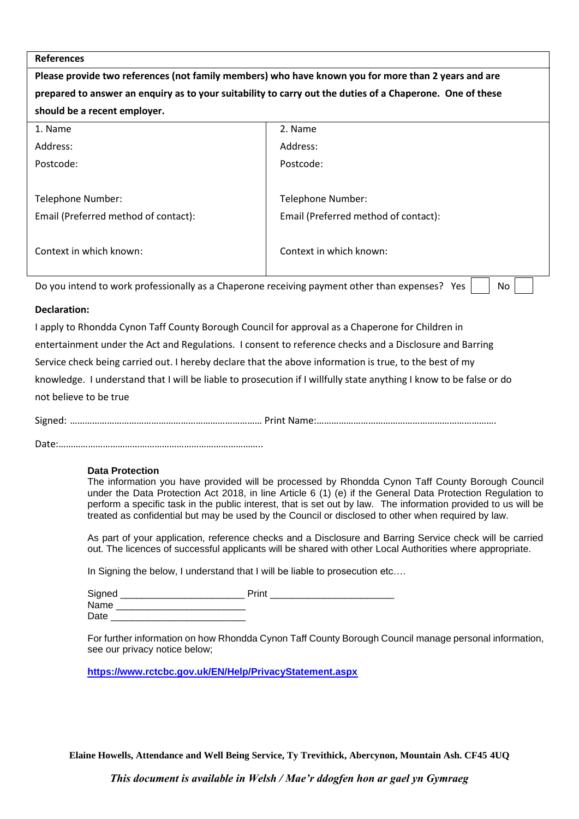### **References**

**Please provide two references (not family members) who have known you for more than 2 years and are prepared to answer an enquiry as to your suitability to carry out the duties of a Chaperone. One of these should be a recent employer.** 1. Name 2. Name 2. Name 2. Name 2. Name 2. Name 2. Name 2. Name 2. Name 2. Name 2. Name 2. Name 2. Name 2. Name 2. Name 2. Name 2. Name 2. Name 2. Name 2. Name 2. Name 2. Name 2. Name 2. Name 2. Name 2. Name 2. Name 2. Nam Address: Address: Postcode: Postcode: Postcode: Postcode: Postcode: Postcode: Postcode: Postcode: Postcode: Postcode: Postcode: Postcode: Postcode: Postcode: Postcode: Postcode: Postcode: Postcode: Postcode: Postcode: Postcode: Postcode: Po Telephone Number: Telephone Number: Email (Preferred method of contact): Email (Preferred method of contact): Context in which known: Context in which known:

Do you intend to work professionally as a Chaperone receiving payment other than expenses? Yes  $\Box$  No

#### **Declaration:**

I apply to Rhondda Cynon Taff County Borough Council for approval as a Chaperone for Children in entertainment under the Act and Regulations. I consent to reference checks and a Disclosure and Barring Service check being carried out. I hereby declare that the above information is true, to the best of my knowledge. I understand that I will be liable to prosecution if I willfully state anything I know to be false or do not believe to be true

Signed: …………………………………………………………………… Print Name:……………………………………………………………….

Date:………………………………………………………………………..

#### **Data Protection**

The information you have provided will be processed by Rhondda Cynon Taff County Borough Council under the Data Protection Act 2018, in line Article 6 (1) (e) if the General Data Protection Regulation to perform a specific task in the public interest, that is set out by law. The information provided to us will be treated as confidential but may be used by the Council or disclosed to other when required by law.

As part of your application, reference checks and a Disclosure and Barring Service check will be carried out. The licences of successful applicants will be shared with other Local Authorities where appropriate.

In Signing the below, I understand that I will be liable to prosecution etc....

Signed Print Print Print Print 2004 Name Date

For further information on how Rhondda Cynon Taff County Borough Council manage personal information, see our privacy notice below;

**https://www.rctcbc.gov.uk/EN/Help/PrivacyStatement.aspx**

**Elaine Howells, Attendance and Well Being Service, Ty Trevithick, Abercynon, Mountain Ash. CF45 4UQ**

*This document is available in Welsh / Mae'r ddogfen hon ar gael yn Gymraeg*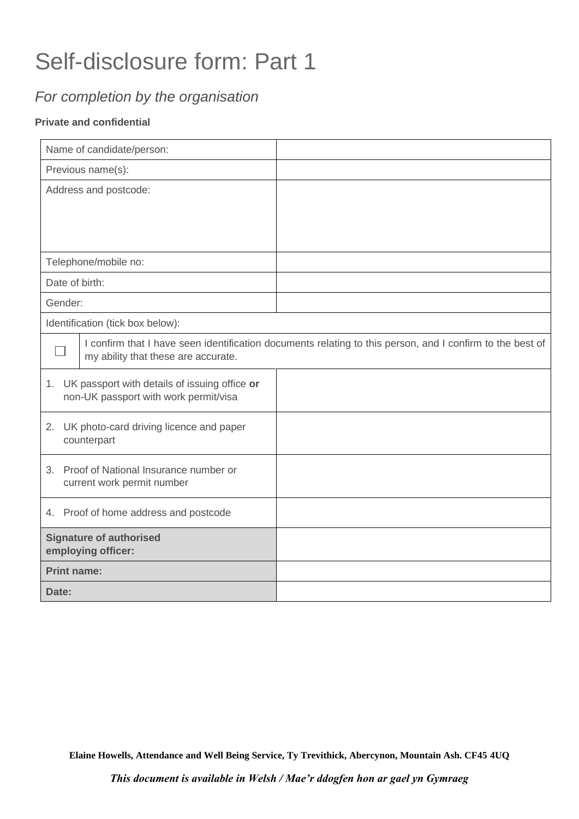# Self-disclosure form: Part 1

# *For completion by the organisation*

## **Private and confidential**

| Name of candidate/person:                                                                 |                                                                                                                                                  |  |
|-------------------------------------------------------------------------------------------|--------------------------------------------------------------------------------------------------------------------------------------------------|--|
| Previous name(s):                                                                         |                                                                                                                                                  |  |
| Address and postcode:                                                                     |                                                                                                                                                  |  |
|                                                                                           |                                                                                                                                                  |  |
|                                                                                           |                                                                                                                                                  |  |
|                                                                                           | Telephone/mobile no:                                                                                                                             |  |
|                                                                                           |                                                                                                                                                  |  |
| Date of birth:                                                                            |                                                                                                                                                  |  |
| Gender:                                                                                   |                                                                                                                                                  |  |
| Identification (tick box below):                                                          |                                                                                                                                                  |  |
|                                                                                           | I confirm that I have seen identification documents relating to this person, and I confirm to the best of<br>my ability that these are accurate. |  |
| 1. UK passport with details of issuing office or<br>non-UK passport with work permit/visa |                                                                                                                                                  |  |
| 2. UK photo-card driving licence and paper<br>counterpart                                 |                                                                                                                                                  |  |
| 3. Proof of National Insurance number or<br>current work permit number                    |                                                                                                                                                  |  |
| 4. Proof of home address and postcode                                                     |                                                                                                                                                  |  |
| <b>Signature of authorised</b><br>employing officer:                                      |                                                                                                                                                  |  |
| <b>Print name:</b>                                                                        |                                                                                                                                                  |  |
| Date:                                                                                     |                                                                                                                                                  |  |

**Elaine Howells, Attendance and Well Being Service, Ty Trevithick, Abercynon, Mountain Ash. CF45 4UQ**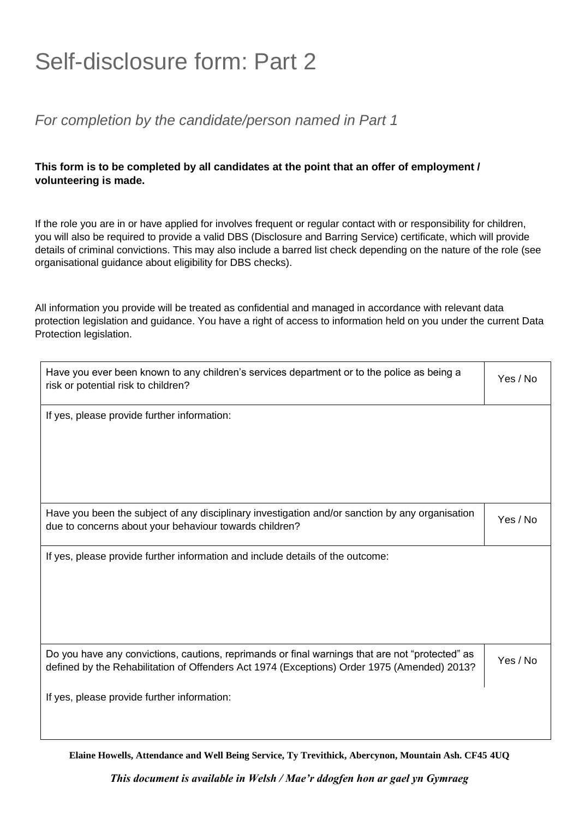# Self-disclosure form: Part 2

## *For completion by the candidate/person named in Part 1*

## **This form is to be completed by all candidates at the point that an offer of employment / volunteering is made.**

If the role you are in or have applied for involves frequent or regular contact with or responsibility for children, you will also be required to provide a valid DBS (Disclosure and Barring Service) certificate, which will provide details of criminal convictions. This may also include a barred list check depending on the nature of the role (see organisational guidance about eligibility for DBS checks).

All information you provide will be treated as confidential and managed in accordance with relevant data protection legislation and guidance. You have a right of access to information held on you under the current Data Protection legislation.

| Have you ever been known to any children's services department or to the police as being a<br>risk or potential risk to children?                                                              |          |
|------------------------------------------------------------------------------------------------------------------------------------------------------------------------------------------------|----------|
| If yes, please provide further information:                                                                                                                                                    |          |
| Have you been the subject of any disciplinary investigation and/or sanction by any organisation<br>due to concerns about your behaviour towards children?                                      | Yes / No |
| If yes, please provide further information and include details of the outcome:                                                                                                                 |          |
| Do you have any convictions, cautions, reprimands or final warnings that are not "protected" as<br>defined by the Rehabilitation of Offenders Act 1974 (Exceptions) Order 1975 (Amended) 2013? |          |
| If yes, please provide further information:                                                                                                                                                    |          |

**Elaine Howells, Attendance and Well Being Service, Ty Trevithick, Abercynon, Mountain Ash. CF45 4UQ**

*This document is available in Welsh / Mae'r ddogfen hon ar gael yn Gymraeg*